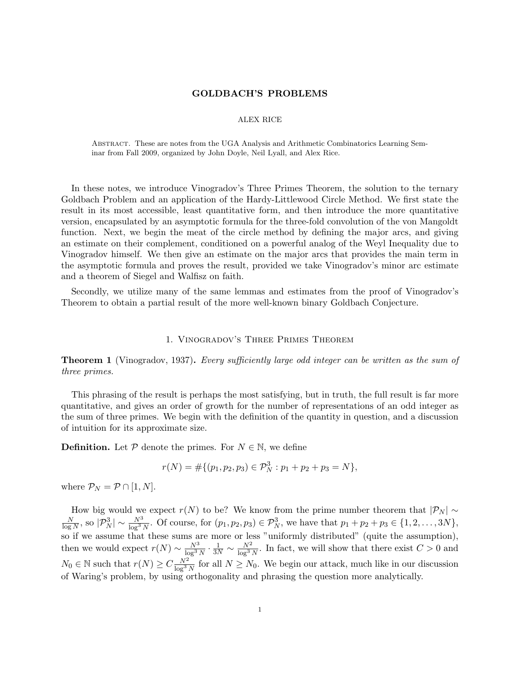### GOLDBACH'S PROBLEMS

#### ALEX RICE

Abstract. These are notes from the UGA Analysis and Arithmetic Combinatorics Learning Seminar from Fall 2009, organized by John Doyle, Neil Lyall, and Alex Rice.

In these notes, we introduce Vinogradov's Three Primes Theorem, the solution to the ternary Goldbach Problem and an application of the Hardy-Littlewood Circle Method. We first state the result in its most accessible, least quantitative form, and then introduce the more quantitative version, encapsulated by an asymptotic formula for the three-fold convolution of the von Mangoldt function. Next, we begin the meat of the circle method by defining the major arcs, and giving an estimate on their complement, conditioned on a powerful analog of the Weyl Inequality due to Vinogradov himself. We then give an estimate on the major arcs that provides the main term in the asymptotic formula and proves the result, provided we take Vinogradov's minor arc estimate and a theorem of Siegel and Walfisz on faith.

Secondly, we utilize many of the same lemmas and estimates from the proof of Vinogradov's Theorem to obtain a partial result of the more well-known binary Goldbach Conjecture.

#### 1. Vinogradov's Three Primes Theorem

**Theorem 1** (Vinogradov, 1937). Every sufficiently large odd integer can be written as the sum of three primes.

This phrasing of the result is perhaps the most satisfying, but in truth, the full result is far more quantitative, and gives an order of growth for the number of representations of an odd integer as the sum of three primes. We begin with the definition of the quantity in question, and a discussion of intuition for its approximate size.

**Definition.** Let  $P$  denote the primes. For  $N \in \mathbb{N}$ , we define

$$
r(N) = #\{(p_1, p_2, p_3) \in \mathcal{P}_N^3 : p_1 + p_2 + p_3 = N\},\
$$

where  $\mathcal{P}_N = \mathcal{P} \cap [1, N].$ 

How big would we expect  $r(N)$  to be? We know from the prime number theorem that  $|\mathcal{P}_N| \sim$ N  $\frac{N}{\log N}$ , so  $|\mathcal{P}_N^3| \sim \frac{N^3}{\log^3 N}$ . Of course, for  $(p_1, p_2, p_3) \in \mathcal{P}_N^3$ , we have that  $p_1 + p_2 + p_3 \in \{1, 2, \ldots, 3N\}$ , so if we assume that these sums are more or less "uniformly distributed" (quite the assumption), then we would expect  $r(N) \sim \frac{N^3}{\log 3}$  $\frac{N^3}{\log^3 N} \cdot \frac{1}{3N} \sim \frac{N^2}{\log^3 N}$  $\frac{N^2}{\log^3 N}$ . In fact, we will show that there exist  $C > 0$  and  $N_0 \in \mathbb{N}$  such that  $r(N) \geq C \frac{N^2}{\log^3}$  $\frac{N^2}{\log^3 N}$  for all  $N \ge N_0$ . We begin our attack, much like in our discussion of Waring's problem, by using orthogonality and phrasing the question more analytically.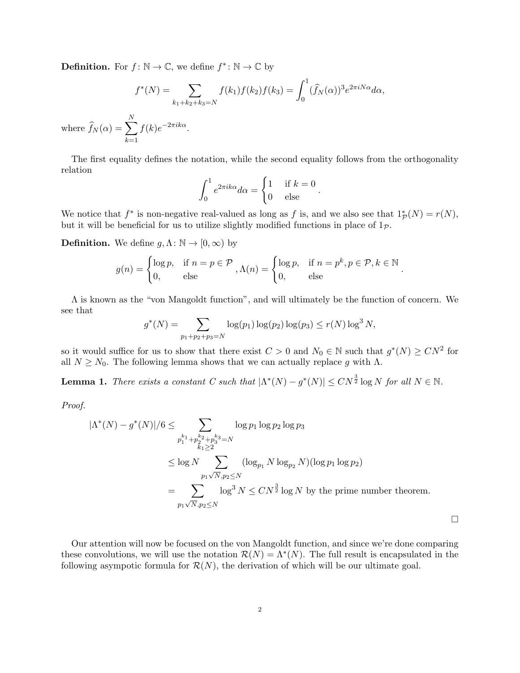**Definition.** For  $f: \mathbb{N} \to \mathbb{C}$ , we define  $f^* : \mathbb{N} \to \mathbb{C}$  by

$$
f^*(N) = \sum_{k_1 + k_2 + k_3 = N} f(k_1) f(k_2) f(k_3) = \int_0^1 (\widehat{f}_N(\alpha))^3 e^{2\pi i N \alpha} d\alpha,
$$
  

$$
\widehat{f}_N(\alpha) = \sum_{k=1}^N f(k) e^{-2\pi i k \alpha}.
$$

The first equality defines the notation, while the second equality follows from the orthogonality relation

$$
\int_0^1 e^{2\pi i k \alpha} d\alpha = \begin{cases} 1 & \text{if } k = 0 \\ 0 & \text{else} \end{cases}.
$$

We notice that  $f^*$  is non-negative real-valued as long as f is, and we also see that  $1^*_{\mathcal{P}}(N) = r(N)$ , but it will be beneficial for us to utilize slightly modified functions in place of  $1<sub>P</sub>$ .

**Definition.** We define  $q, \Lambda : \mathbb{N} \to [0, \infty)$  by

$$
g(n) = \begin{cases} \log p, & \text{if } n = p \in \mathcal{P} \\ 0, & \text{else} \end{cases}, \Lambda(n) = \begin{cases} \log p, & \text{if } n = p^k, p \in \mathcal{P}, k \in \mathbb{N} \\ 0, & \text{else} \end{cases}
$$

.

Λ is known as the "von Mangoldt function", and will ultimately be the function of concern. We see that

$$
g^*(N) = \sum_{p_1 + p_2 + p_3 = N} \log(p_1) \log(p_2) \log(p_3) \le r(N) \log^3 N,
$$

so it would suffice for us to show that there exist  $C > 0$  and  $N_0 \in \mathbb{N}$  such that  $g^*(N) \ge CN^2$  for all  $N \geq N_0$ . The following lemma shows that we can actually replace g with  $\Lambda$ .

**Lemma 1.** There exists a constant C such that  $|\Lambda^*(N) - g^*(N)| \leq CN^{\frac{3}{2}} \log N$  for all  $N \in \mathbb{N}$ .

Proof.

where

$$
|\Lambda^*(N) - g^*(N)|/6 \leq \sum_{\substack{p_1^{k_1} + p_2^{k_2} + p_3^{k_3} = N \\ k_1 \geq 2}} \log p_1 \log p_2 \log p_3
$$
  

$$
\leq \log N \sum_{\substack{p_1 \sqrt{N}, p_2 \leq N \\ p_1 \sqrt{N}, p_2 \leq N}} (\log_{p_1} N \log_{p_2} N)(\log p_1 \log p_2)
$$
  

$$
= \sum_{p_1 \sqrt{N}, p_2 \leq N} \log^3 N \leq CN^{\frac{3}{2}} \log N \text{ by the prime number theorem.}
$$

Our attention will now be focused on the von Mangoldt function, and since we're done comparing these convolutions, we will use the notation  $\mathcal{R}(N) = \Lambda^*(N)$ . The full result is encapsulated in the following asympotic formula for  $\mathcal{R}(N)$ , the derivation of which will be our ultimate goal.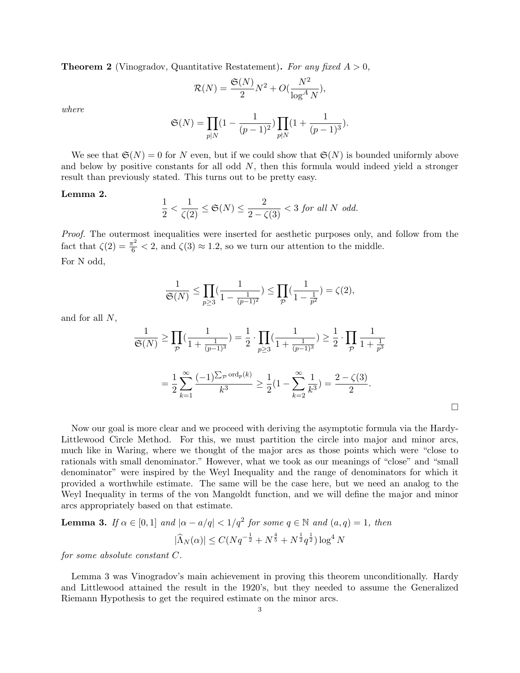**Theorem 2** (Vinogradov, Quantitative Restatement). For any fixed  $A > 0$ .

$$
\mathcal{R}(N) = \frac{\mathfrak{S}(N)}{2} N^2 + O(\frac{N^2}{\log^A N}),
$$

where

$$
\mathfrak{S}(N) = \prod_{p|N} (1 - \frac{1}{(p-1)^2}) \prod_{p\nmid N} (1 + \frac{1}{(p-1)^3}).
$$

We see that  $\mathfrak{S}(N) = 0$  for N even, but if we could show that  $\mathfrak{S}(N)$  is bounded uniformly above and below by positive constants for all odd  $N$ , then this formula would indeed yield a stronger result than previously stated. This turns out to be pretty easy.

#### Lemma 2.

$$
\frac{1}{2} < \frac{1}{\zeta(2)} \le \mathfrak{S}(N) \le \frac{2}{2 - \zeta(3)} < 3 \text{ for all } N \text{ odd.}
$$

Proof. The outermost inequalities were inserted for aesthetic purposes only, and follow from the fact that  $\zeta(2) = \frac{\pi^2}{6} < 2$ , and  $\zeta(3) \approx 1.2$ , so we turn our attention to the middle. For N odd,

$$
\frac{1}{\mathfrak{S}(N)} \le \prod_{p \ge 3} \left( \frac{1}{1 - \frac{1}{(p-1)^2}} \right) \le \prod_p \left( \frac{1}{1 - \frac{1}{p^2}} \right) = \zeta(2),
$$

and for all N,

$$
\frac{1}{\mathfrak{S}(N)} \ge \prod_{p} \left( \frac{1}{1 + \frac{1}{(p-1)^3}} \right) = \frac{1}{2} \cdot \prod_{p \ge 3} \left( \frac{1}{1 + \frac{1}{(p-1)^3}} \right) \ge \frac{1}{2} \cdot \prod_{p} \frac{1}{1 + \frac{1}{p^3}}
$$

$$
= \frac{1}{2} \sum_{k=1}^{\infty} \frac{(-1)^{\sum_{p} \text{ord}_p(k)}}{k^3} \ge \frac{1}{2} \left( 1 - \sum_{k=2}^{\infty} \frac{1}{k^3} \right) = \frac{2 - \zeta(3)}{2}.
$$

 $\Box$ 

Now our goal is more clear and we proceed with deriving the asymptotic formula via the Hardy-Littlewood Circle Method. For this, we must partition the circle into major and minor arcs, much like in Waring, where we thought of the major arcs as those points which were "close to rationals with small denominator." However, what we took as our meanings of "close" and "small denominator" were inspired by the Weyl Inequality and the range of denominators for which it provided a worthwhile estimate. The same will be the case here, but we need an analog to the Weyl Inequality in terms of the von Mangoldt function, and we will define the major and minor arcs appropriately based on that estimate.

**Lemma 3.** If 
$$
\alpha \in [0, 1]
$$
 and  $|\alpha - a/q| < 1/q^2$  for some  $q \in \mathbb{N}$  and  $(a, q) = 1$ , then  

$$
|\widehat{\Lambda}_N(\alpha)| \le C(Nq^{-\frac{1}{2}} + N^{\frac{4}{5}} + N^{\frac{1}{2}}q^{\frac{1}{2}}) \log^4 N
$$

for some absolute constant C.

Lemma 3 was Vinogradov's main achievement in proving this theorem unconditionally. Hardy and Littlewood attained the result in the 1920's, but they needed to assume the Generalized Riemann Hypothesis to get the required estimate on the minor arcs.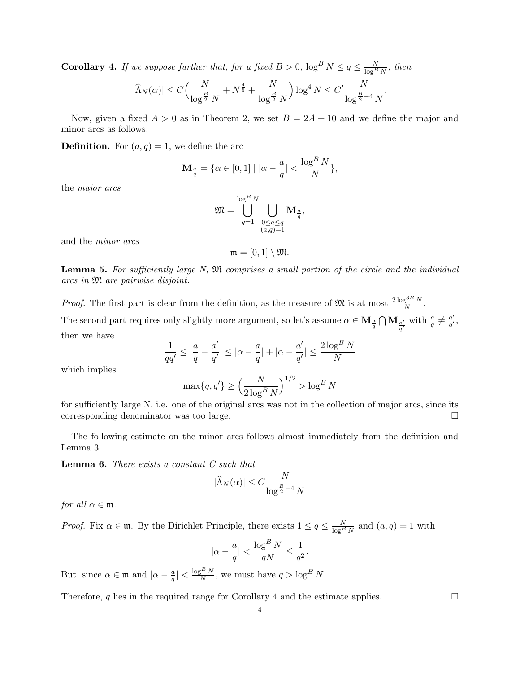**Corollary 4.** If we suppose further that, for a fixed  $B > 0$ ,  $\log^B N \le q \le \frac{N}{\log^B N}$ , then

$$
|\widehat{\Lambda}_N(\alpha)|\leq C\Big(\frac{N}{\log^\frac{B}{2} N}+N^{\frac{4}{5}}+\frac{N}{\log^\frac{B}{2} N}\Big)\log^4 N\leq C'\frac{N}{\log^{\frac{B}{2}-4} N}.
$$

Now, given a fixed  $A > 0$  as in Theorem 2, we set  $B = 2A + 10$  and we define the major and minor arcs as follows.

**Definition.** For  $(a, q) = 1$ , we define the arc

$$
\mathbf{M}_{\frac{a}{q}} = \{ \alpha \in [0,1] \mid |\alpha - \frac{a}{q}| < \frac{\log^B N}{N} \},
$$

the major arcs

$$
\mathfrak{M} = \bigcup_{q=1}^{\log^B N} \bigcup_{\substack{0 \leq a \leq q \\ (a,q)=1}} \mathbf{M}_{\frac{a}{q}},
$$

and the minor arcs

$$
\mathfrak{m}=[0,1]\setminus \mathfrak{M}.
$$

**Lemma 5.** For sufficiently large  $N$ ,  $\mathfrak{M}$  comprises a small portion of the circle and the individual arcs in M are pairwise disjoint.

*Proof.* The first part is clear from the definition, as the measure of  $\mathfrak{M}$  is at most  $\frac{2 \log^{3B} N}{N}$ . The second part requires only slightly more argument, so let's assume  $\alpha \in \mathbf{M}_{\frac{a}{q}} \cap \mathbf{M}_{\frac{a'}{q'}}$  with  $\frac{a}{q} \neq \frac{a'}{q'}$  $\frac{a'}{q'}\,,$ then we have

$$
\frac{1}{qq'}\leq |\frac{a}{q}-\frac{a'}{q'}|\leq |\alpha-\frac{a}{q}|+|\alpha-\frac{a'}{q'}|\leq \frac{2\log^BN}{N}
$$

which implies

$$
\max\{q, q'\} \ge \left(\frac{N}{2\log^B N}\right)^{1/2} > \log^B N
$$

for sufficiently large N, i.e. one of the original arcs was not in the collection of major arcs, since its corresponding denominator was too large.  $\Box$ 

The following estimate on the minor arcs follows almost immediately from the definition and Lemma 3.

Lemma 6. There exists a constant C such that

$$
|\widehat{\Lambda}_N(\alpha)| \leq C \frac{N}{\log^{\frac{B}{2}-4} N}
$$

for all  $\alpha \in \mathfrak{m}$ .

*Proof.* Fix  $\alpha \in \mathfrak{m}$ . By the Dirichlet Principle, there exists  $1 \leq q \leq \frac{N}{\log^B N}$  and  $(a, q) = 1$  with

$$
|\alpha - \frac{a}{q}| < \frac{\log^B N}{qN} \le \frac{1}{q^2}.
$$

But, since  $\alpha \in \mathfrak{m}$  and  $|\alpha - \frac{a}{a}|$  $\frac{a}{q}| < \frac{\log^B N}{N}$  $\frac{R^B N}{N}$ , we must have  $q > \log^B N$ .

Therefore, q lies in the required range for Corollary 4 and the estimate applies.  $\Box$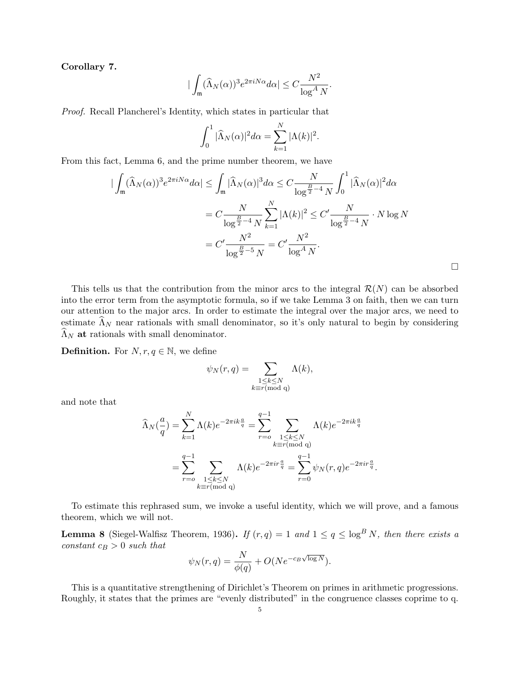Corollary 7.

$$
|\int_{\mathfrak{m}} (\widehat{\Lambda}_N(\alpha))^3 e^{2\pi i N \alpha} d\alpha| \leq C \frac{N^2}{\log^A N}.
$$

Proof. Recall Plancherel's Identity, which states in particular that

$$
\int_0^1 |\widehat{\Lambda}_N(\alpha)|^2 d\alpha = \sum_{k=1}^N |\Lambda(k)|^2.
$$

From this fact, Lemma 6, and the prime number theorem, we have

$$
\begin{split} |\int_{\mathfrak{m}} (\widehat{\Lambda}_{N}(\alpha))^{3} e^{2\pi i N \alpha} d\alpha| &\leq \int_{\mathfrak{m}} |\widehat{\Lambda}_{N}(\alpha)|^{3} d\alpha \leq C \frac{N}{\log^{\frac{B}{2}-4} N} \int_{0}^{1} |\widehat{\Lambda}_{N}(\alpha)|^{2} d\alpha \\ &= C \frac{N}{\log^{\frac{B}{2}-4} N} \sum_{k=1}^{N} |\Lambda(k)|^{2} \leq C' \frac{N}{\log^{\frac{B}{2}-4} N} \cdot N \log N \\ &= C' \frac{N^{2}}{\log^{\frac{B}{2}-5} N} = C' \frac{N^{2}}{\log^{A} N} .\end{split}
$$

 $\Box$ 

This tells us that the contribution from the minor arcs to the integral  $\mathcal{R}(N)$  can be absorbed into the error term from the asymptotic formula, so if we take Lemma 3 on faith, then we can turn our attention to the major arcs. In order to estimate the integral over the major arcs, we need to estimate  $\widehat{\Lambda}_N$  near rationals with small denominator, so it's only natural to begin by considering  $\Lambda_N$  at rationals with small denominator.

**Definition.** For  $N, r, q \in \mathbb{N}$ , we define

$$
\psi_N(r,q) = \sum_{\substack{1 \le k \le N \\ k \equiv r \pmod{q}}} \Lambda(k),
$$

and note that

$$
\widehat{\Lambda}_N(\frac{a}{q}) = \sum_{k=1}^N \Lambda(k) e^{-2\pi i k \frac{a}{q}} = \sum_{r=o}^{q-1} \sum_{\substack{1 \le k \le N \\ k \equiv r \pmod{q}}} \Lambda(k) e^{-2\pi i k \frac{a}{q}} = \sum_{r=o}^{q-1} \sum_{\substack{1 \le k \le N \\ k \equiv r \pmod{q}}} \Lambda(k) e^{-2\pi i r \frac{a}{q}} = \sum_{r=0}^{q-1} \psi_N(r, q) e^{-2\pi i r \frac{a}{q}}.
$$

To estimate this rephrased sum, we invoke a useful identity, which we will prove, and a famous theorem, which we will not.

**Lemma 8** (Siegel-Walfisz Theorem, 1936). If  $(r, q) = 1$  and  $1 \leq q \leq \log^B N$ , then there exists a constant  $c_B > 0$  such that

$$
\psi_N(r,q) = \frac{N}{\phi(q)} + O(Ne^{-c_B\sqrt{\log N}}).
$$

This is a quantitative strengthening of Dirichlet's Theorem on primes in arithmetic progressions. Roughly, it states that the primes are "evenly distributed" in the congruence classes coprime to q.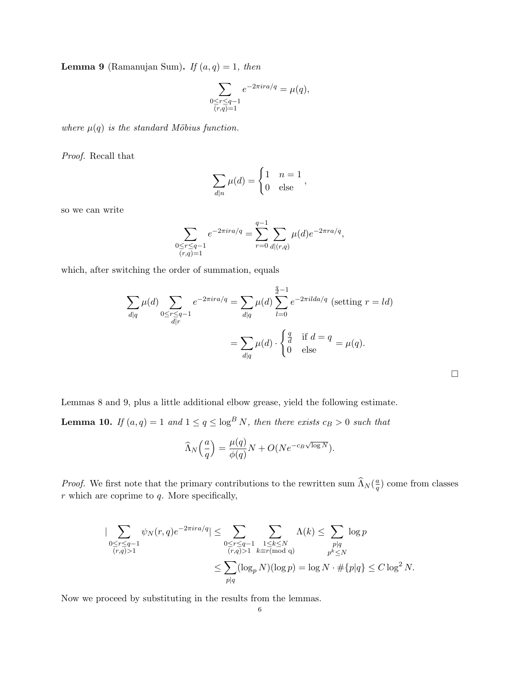**Lemma 9** (Ramanujan Sum). If  $(a, q) = 1$ , then

$$
\sum_{\substack{0 \le r \le q-1 \\ (r,q)=1}} e^{-2\pi ira/q} = \mu(q),
$$

where  $\mu(q)$  is the standard Möbius function.

Proof. Recall that

$$
\sum_{d|n} \mu(d) = \begin{cases} 1 & n = 1 \\ 0 & \text{else} \end{cases},
$$

so we can write

$$
\sum_{\substack{0 \le r \le q-1 \\ (r,q)=1}} e^{-2\pi i r a/q} = \sum_{r=0}^{q-1} \sum_{d | (r,q)} \mu(d) e^{-2\pi r a/q},
$$

which, after switching the order of summation, equals

$$
\sum_{d|q} \mu(d) \sum_{\substack{0 \le r \le q-1 \\ d|r}} e^{-2\pi ira/q} = \sum_{d|q} \mu(d) \sum_{l=0}^{\frac{q}{d}-1} e^{-2\pi ilda/q} \text{ (setting } r = ld)
$$

$$
= \sum_{d|q} \mu(d) \cdot \begin{cases} \frac{q}{d} & \text{if } d=q\\ 0 & \text{else} \end{cases} = \mu(q).
$$

Lemmas 8 and 9, plus a little additional elbow grease, yield the following estimate.

**Lemma 10.** If  $(a, q) = 1$  and  $1 \leq q \leq \log^B N$ , then there exists  $c_B > 0$  such that

$$
\widehat{\Lambda}_N\Big(\frac{a}{q}\Big) = \frac{\mu(q)}{\phi(q)}N + O(N e^{-c_B \sqrt{\log N}}).
$$

*Proof.* We first note that the primary contributions to the rewritten sum  $\widehat{\Lambda}_N(\frac{a}{q})$  $\frac{a}{q}$ ) come from classes  $r$  which are coprime to  $q$ . More specifically,

$$
\begin{aligned} |\sum_{\substack{0 \le r \le q-1 \\ (r,q) > 1}} \psi_N(r,q) e^{-2\pi i r a/q}| &\le \sum_{\substack{0 \le r \le q-1 \\ (r,q) > 1}} \sum_{\substack{1 \le k \le N \\ k \equiv r \pmod{q}}} \Lambda(k) &\le \sum_{\substack{p|q \\ p^k \le N}} \log p \\ p^k \le N} \\ &\le \sum_{p|q} (\log_p N)(\log p) = \log N \cdot \# \{p|q\} \le C \log^2 N. \end{aligned}
$$

Now we proceed by substituting in the results from the lemmas.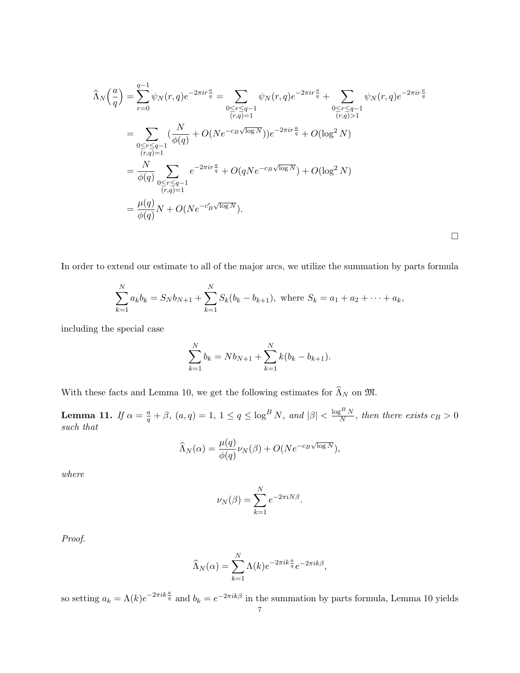$$
\begin{split}\n\widehat{\Lambda}_{N}\Big(\frac{a}{q}\Big) &= \sum_{r=0}^{q-1} \psi_{N}(r,q)e^{-2\pi ir\frac{a}{q}} = \sum_{\substack{0 \le r \le q-1 \\ (r,q)=1}} \psi_{N}(r,q)e^{-2\pi ir\frac{a}{q}} + \sum_{\substack{0 \le r \le q-1 \\ (r,q) > 1}} \psi_{N}(r,q)e^{-2\pi ir\frac{a}{q}} \\
&= \sum_{\substack{0 \le r \le q-1 \\ (r,q)=1}} \left(\frac{N}{\phi(q)} + O(Ne^{-c_{B}\sqrt{\log N}})\right)e^{-2\pi ir\frac{a}{q}} + O(\log^{2} N) \\
&= \frac{N}{\phi(q)} \sum_{\substack{0 \le r \le q-1 \\ (r,q)=1}} e^{-2\pi ir\frac{a}{q}} + O(qNe^{-c_{B}\sqrt{\log N}}) + O(\log^{2} N) \\
&= \frac{\mu(q)}{\phi(q)}N + O(Ne^{-c_{B}\sqrt{\log N}}).\n\end{split}
$$

In order to extend our estimate to all of the major arcs, we utilize the summation by parts formula

 $\Box$ 

$$
\sum_{k=1}^{N} a_k b_k = S_N b_{N+1} + \sum_{k=1}^{N} S_k (b_k - b_{k+1}), \text{ where } S_k = a_1 + a_2 + \dots + a_k,
$$

including the special case

$$
\sum_{k=1}^{N} b_k = Nb_{N+1} + \sum_{k=1}^{N} k(b_k - b_{k+1}).
$$

With these facts and Lemma 10, we get the following estimates for  $\widehat{\Lambda}_N$  on  $\mathfrak{M}$ .

**Lemma 11.** If  $\alpha = \frac{a}{q} + \beta$ ,  $(a,q) = 1$ ,  $1 \le q \le \log^B N$ , and  $|\beta| < \frac{\log^B N}{N}$  $\frac{S-N}{N}$ , then there exists  $c_B > 0$ such that

$$
\widehat{\Lambda}_N(\alpha) = \frac{\mu(q)}{\phi(q)} \nu_N(\beta) + O(N e^{-c_B \sqrt{\log N}}),
$$

where

$$
\nu_N(\beta) = \sum_{k=1}^N e^{-2\pi i N \beta}.
$$

Proof.

$$
\widehat{\Lambda}_N(\alpha) = \sum_{k=1}^N \Lambda(k) e^{-2\pi i k \frac{a}{q}} e^{-2\pi i k \beta},
$$

so setting  $a_k = \Lambda(k)e^{-2\pi i k \frac{a}{q}}$  and  $b_k = e^{-2\pi i k \beta}$  in the summation by parts formula, Lemma 10 yields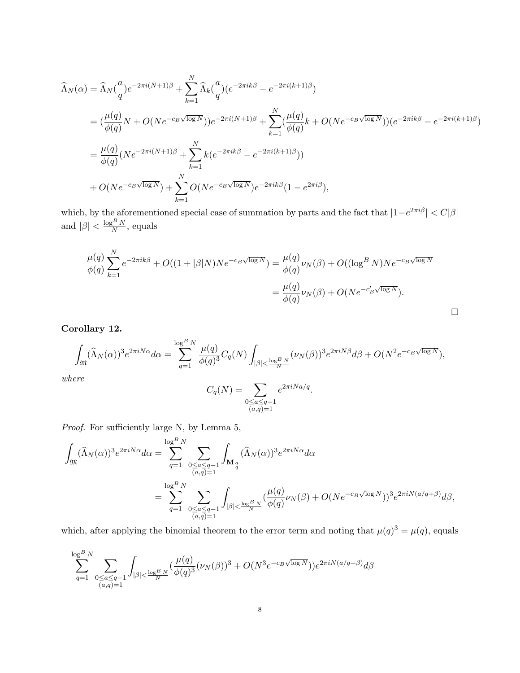$$
\begin{split}\n\widehat{\Lambda}_{N}(\alpha) &= \widehat{\Lambda}_{N}\left(\frac{a}{q}\right)e^{-2\pi i(N+1)\beta} + \sum_{k=1}^{N} \widehat{\Lambda}_{k}\left(\frac{a}{q}\right)\left(e^{-2\pi i k\beta} - e^{-2\pi i(k+1)\beta}\right) \\
&= \left(\frac{\mu(q)}{\phi(q)}N + O(Ne^{-c_{B}\sqrt{\log N}})\right)e^{-2\pi i(N+1)\beta} + \sum_{k=1}^{N} \left(\frac{\mu(q)}{\phi(q)}k + O(Ne^{-c_{B}\sqrt{\log N}})\right)\left(e^{-2\pi i k\beta} - e^{-2\pi i(k+1)\beta}\right) \\
&= \frac{\mu(q)}{\phi(q)}(Ne^{-2\pi i(N+1)\beta} + \sum_{k=1}^{N} k(e^{-2\pi i k\beta} - e^{-2\pi i(k+1)\beta})) \\
&+ O(Ne^{-c_{B}\sqrt{\log N}}) + \sum_{k=1}^{N} O(Ne^{-c_{B}\sqrt{\log N}})e^{-2\pi i k\beta}(1 - e^{2\pi i\beta}),\n\end{split}
$$

which, by the aforementioned special case of summation by parts and the fact that  $|1-e^{2\pi i\beta}| < C|\beta|$ and  $|\beta| < \frac{\log^B N}{N}$  $\frac{S-N}{N}$ , equals

$$
\frac{\mu(q)}{\phi(q)} \sum_{k=1}^{N} e^{-2\pi i k \beta} + O((1+|\beta|N)Ne^{-c_B\sqrt{\log N}}) = \frac{\mu(q)}{\phi(q)} \nu_N(\beta) + O((\log^B N)Ne^{-c_B\sqrt{\log N}})
$$

$$
= \frac{\mu(q)}{\phi(q)} \nu_N(\beta) + O(Ne^{-c_B'\sqrt{\log N}}).
$$

Corollary 12.

$$
\int_{\mathfrak{M}} (\widehat{\Lambda}_N(\alpha))^3 e^{2\pi i N \alpha} d\alpha = \sum_{q=1}^{\log^B N} \frac{\mu(q)}{\phi(q)^3} C_q(N) \int_{|\beta| < \frac{\log^B N}{N}} (\nu_N(\beta))^3 e^{2\pi i N \beta} d\beta + O(N^2 e^{-c_B \sqrt{\log N}}),
$$
\nwhere

 $wh$ 

$$
C_q(N) = \sum_{\substack{0 \le a \le q-1 \\ (a,q)=1}} e^{2\pi i Na/q}.
$$

Proof. For sufficiently large N, by Lemma 5,

$$
\int_{\mathfrak{M}} (\widehat{\Lambda}_N(\alpha))^3 e^{2\pi i N \alpha} d\alpha = \sum_{q=1}^{\log^B N} \sum_{\substack{0 \le a \le q-1 \\ (a,q)=1}} \int_{\mathbf{M}_{\frac{a}{q}}} (\widehat{\Lambda}_N(\alpha))^3 e^{2\pi i N \alpha} d\alpha
$$
\n
$$
= \sum_{q=1}^{\log^B N} \sum_{\substack{0 \le a \le q-1 \\ (a,q)=1}} \int_{|\beta| < \frac{\log^B N}{N}} (\frac{\mu(q)}{\phi(q)} \nu_N(\beta) + O(N e^{-c_B \sqrt{\log N}}))^3 e^{2\pi i N (a/q+\beta)} d\beta,
$$

which, after applying the binomial theorem to the error term and noting that  $\mu(q)^3 = \mu(q)$ , equals

$$
\sum_{q=1}^{\log^B N} \sum_{\substack{0 \le a \le q-1 \\ (a,q)=1}} \int_{|\beta| < \frac{\log^B N}{N}} \left( \frac{\mu(q)}{\phi(q)^3} (\nu_N(\beta))^3 + O(N^3 e^{-c_B \sqrt{\log N}}) \right) e^{2\pi i N (a/q+\beta)} d\beta
$$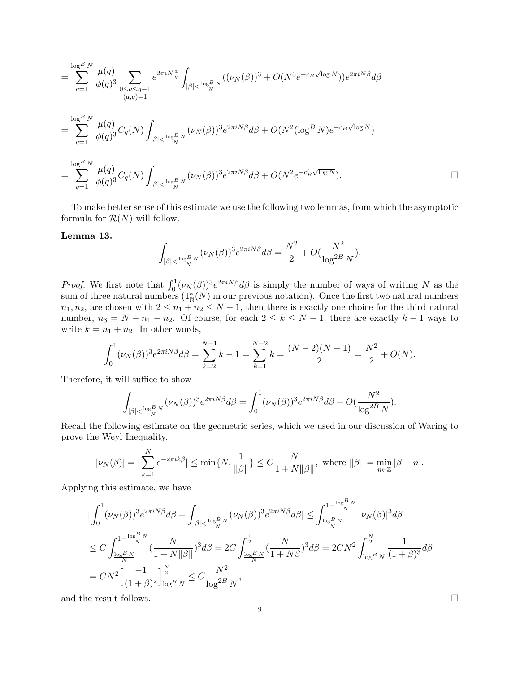$$
= \sum_{q=1}^{\log^{B} N} \frac{\mu(q)}{\phi(q)^{3}} \sum_{\substack{0 \le a \le q-1 \\ (a,q)=1}} e^{2\pi i N \frac{a}{q}} \int_{|\beta| < \frac{\log^{B} N}{N}} ((\nu_N(\beta))^3 + O(N^3 e^{-c_B \sqrt{\log N}})) e^{2\pi i N \beta} d\beta
$$
\n
$$
= \sum_{q=1}^{\log^{B} N} \frac{\mu(q)}{\phi(q)^{3}} C_q(N) \int_{|\beta| < \frac{\log^{B} N}{N}} (\nu_N(\beta))^3 e^{2\pi i N \beta} d\beta + O(N^2 (\log^{B} N) e^{-c_B \sqrt{\log N}})
$$
\n
$$
= \sum_{q=1}^{\log^{B} N} \frac{\mu(q)}{\phi(q)^{3}} C_q(N) \int_{|\beta| < \frac{\log^{B} N}{N}} (\nu_N(\beta))^3 e^{2\pi i N \beta} d\beta + O(N^2 e^{-c_B \sqrt{\log N}}).
$$

To make better sense of this estimate we use the following two lemmas, from which the asymptotic formula for  $\mathcal{R}(N)$  will follow.

### Lemma 13.

$$
\int_{|\beta| < \frac{\log B_N}{N}} (\nu_N(\beta))^3 e^{2\pi i N \beta} d\beta = \frac{N^2}{2} + O(\frac{N^2}{\log^{2B} N}).
$$

*Proof.* We first note that  $\int_0^1 (\nu_N(\beta))^3 e^{2\pi i N \beta} d\beta$  is simply the number of ways of writing N as the sum of three natural numbers  $(1^*_{\mathbb{N}}(N)$  in our previous notation). Once the first two natural numbers  $n_1, n_2$ , are chosen with  $2 \leq n_1 + n_2 \leq N - 1$ , then there is exactly one choice for the third natural number,  $n_3 = N - n_1 - n_2$ . Of course, for each  $2 \le k \le N - 1$ , there are exactly  $k - 1$  ways to write  $k = n_1 + n_2$ . In other words,

$$
\int_0^1 (\nu_N(\beta))^3 e^{2\pi i N \beta} d\beta = \sum_{k=2}^{N-1} k - 1 = \sum_{k=1}^{N-2} k = \frac{(N-2)(N-1)}{2} = \frac{N^2}{2} + O(N).
$$

Therefore, it will suffice to show

$$
\int_{|\beta|<\frac{\log B_N}{N}} (\nu_N(\beta))^3 e^{2\pi i N \beta} d\beta = \int_0^1 (\nu_N(\beta))^3 e^{2\pi i N \beta} d\beta + O(\frac{N^2}{\log^{2B} N}).
$$

Recall the following estimate on the geometric series, which we used in our discussion of Waring to prove the Weyl Inequality.

$$
|\nu_N(\beta)| = |\sum_{k=1}^N e^{-2\pi i k \beta}| \le \min\{N, \frac{1}{\|\beta\|}\} \le C \frac{N}{1 + N\|\beta\|},
$$
 where  $\|\beta\| = \min_{n \in \mathbb{Z}} |\beta - n|$ .

Applying this estimate, we have

$$
\begin{split} &|\int_{0}^{1}(\nu_{N}(\beta))^{3}e^{2\pi i N\beta}d\beta-\int_{|\beta|<\frac{\log B}{N}N}(\nu_{N}(\beta))^{3}e^{2\pi i N\beta}d\beta|\leq \int_{\frac{\log B}{N}N}^{1-\frac{\log B}{N}}|\nu_{N}(\beta)|^{3}d\beta\\ &\leq C\int_{\frac{\log B}{N}N}^{1-\frac{\log B}{N}}(\frac{N}{1+N\|\beta\|})^{3}d\beta=2C\int_{\frac{\log B}{N}N}^{1-\frac{1}{2}}(\frac{N}{1+N\beta})^{3}d\beta=2CN^{2}\int_{\log^{B}N}^{\frac{N}{2}}\frac{1}{(1+\beta)^{3}}d\beta\\ &=CN^{2}\Big[\frac{-1}{(1+\beta)^{2}}\Big]_{\log^{B}N}^{ \frac{N}{2}}\leq C\frac{N^{2}}{\log^{2B}N}, \end{split}
$$

and the result follows.  $\Box$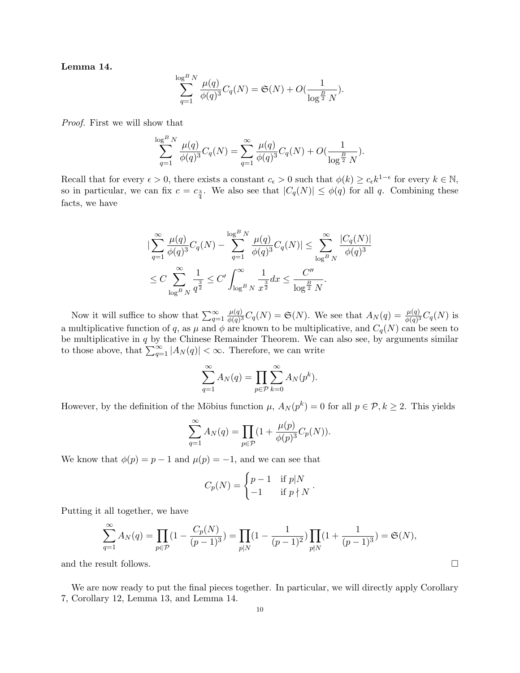Lemma 14.

$$
\sum_{q=1}^{\log^B N} \frac{\mu(q)}{\phi(q)^3} C_q(N) = \mathfrak{S}(N) + O\left(\frac{1}{\log^{\frac{B}{2}} N}\right).
$$

Proof. First we will show that

$$
\sum_{q=1}^{\log^B N} \frac{\mu(q)}{\phi(q)^3} C_q(N) = \sum_{q=1}^{\infty} \frac{\mu(q)}{\phi(q)^3} C_q(N) + O(\frac{1}{\log^{\frac{B}{2}} N}).
$$

Recall that for every  $\epsilon > 0$ , there exists a constant  $c_{\epsilon} > 0$  such that  $\phi(k) \ge c_{\epsilon} k^{1-\epsilon}$  for every  $k \in \mathbb{N}$ , so in particular, we can fix  $c = c_{\frac{3}{4}}$ . We also see that  $|C_q(N)| \leq \phi(q)$  for all q. Combining these facts, we have

$$
\begin{split} &|\sum_{q=1}^{\infty}\frac{\mu(q)}{\phi(q)^3}C_q(N)-\sum_{q=1}^{\log^B N}\frac{\mu(q)}{\phi(q)^3}C_q(N)|\leq \sum_{\log^B N}^{\infty}\frac{|C_q(N)|}{\phi(q)^3}\\ &\leq C\sum_{\log^B N}^{\infty}\frac{1}{q^{\frac{3}{2}}}\leq C'\int_{\log^B N}^{\infty}\frac{1}{x^{\frac{3}{2}}}dx\leq \frac{C''}{\log^{\frac{B}{2}}N}. \end{split}
$$

Now it will suffice to show that  $\sum_{q=1}^{\infty}$  $\mu(q)$  $\frac{\mu(q)}{\phi(q)^3}C_q(N) = \mathfrak{S}(N)$ . We see that  $A_N(q) = \frac{\mu(q)}{\phi(q)^3}C_q(N)$  is a multiplicative function of q, as  $\mu$  and  $\phi$  are known to be multiplicative, and  $C_q(N)$  can be seen to be multiplicative in  $q$  by the Chinese Remainder Theorem. We can also see, by arguments similar to those above, that  $\sum_{q=1}^{\infty} |A_N(q)| < \infty$ . Therefore, we can write

$$
\sum_{q=1}^{\infty} A_N(q) = \prod_{p \in \mathcal{P}} \sum_{k=0}^{\infty} A_N(p^k).
$$

However, by the definition of the Möbius function  $\mu$ ,  $A_N(p^k) = 0$  for all  $p \in \mathcal{P}, k \ge 2$ . This yields

$$
\sum_{q=1}^{\infty} A_N(q) = \prod_{p \in \mathcal{P}} (1 + \frac{\mu(p)}{\phi(p)^3} C_p(N)).
$$

We know that  $\phi(p) = p - 1$  and  $\mu(p) = -1$ , and we can see that

$$
C_p(N) = \begin{cases} p-1 & \text{if } p \mid N \\ -1 & \text{if } p \nmid N \end{cases}
$$

Putting it all together, we have

$$
\sum_{q=1}^{\infty} A_N(q) = \prod_{p \in \mathcal{P}} (1 - \frac{C_p(N)}{(p-1)^3}) = \prod_{p|N} (1 - \frac{1}{(p-1)^2}) \prod_{p\nmid N} (1 + \frac{1}{(p-1)^3}) = \mathfrak{S}(N),
$$

.

and the result follows.  $\Box$ 

We are now ready to put the final pieces together. In particular, we will directly apply Corollary 7, Corollary 12, Lemma 13, and Lemma 14.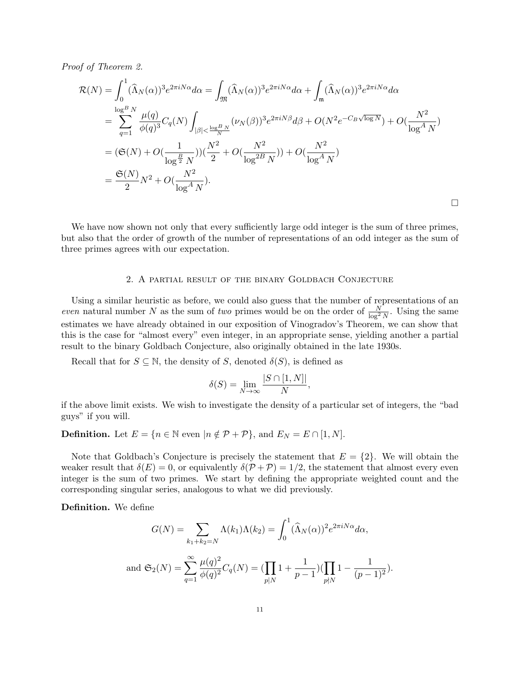Proof of Theorem 2.

$$
\mathcal{R}(N) = \int_0^1 (\hat{\Lambda}_N(\alpha))^3 e^{2\pi i N \alpha} d\alpha = \int_{\mathfrak{M}} (\hat{\Lambda}_N(\alpha))^3 e^{2\pi i N \alpha} d\alpha + \int_{\mathfrak{m}} (\hat{\Lambda}_N(\alpha))^3 e^{2\pi i N \alpha} d\alpha \n= \sum_{q=1}^{\log^B N} \frac{\mu(q)}{\phi(q)^3} C_q(N) \int_{|\beta| < \frac{\log^B N}{N}} (\nu_N(\beta))^3 e^{2\pi i N \beta} d\beta + O(N^2 e^{-C_B \sqrt{\log N}}) + O(\frac{N^2}{\log^A N}) \n= (\mathfrak{S}(N) + O(\frac{1}{\log^B N}))(\frac{N^2}{2} + O(\frac{N^2}{\log^{2B} N})) + O(\frac{N^2}{\log^A N}) \n= \frac{\mathfrak{S}(N)}{2} N^2 + O(\frac{N^2}{\log^A N}).
$$

We have now shown not only that every sufficiently large odd integer is the sum of three primes, but also that the order of growth of the number of representations of an odd integer as the sum of three primes agrees with our expectation.

 $\Box$ 

### 2. A partial result of the binary Goldbach Conjecture

Using a similar heuristic as before, we could also guess that the number of representations of an even natural number N as the sum of two primes would be on the order of  $\frac{N}{\log^2 N}$ . Using the same estimates we have already obtained in our exposition of Vinogradov's Theorem, we can show that this is the case for "almost every" even integer, in an appropriate sense, yielding another a partial result to the binary Goldbach Conjecture, also originally obtained in the late 1930s.

Recall that for  $S \subseteq \mathbb{N}$ , the density of S, denoted  $\delta(S)$ , is defined as

$$
\delta(S) = \lim_{N \to \infty} \frac{|S \cap [1, N]|}{N},
$$

if the above limit exists. We wish to investigate the density of a particular set of integers, the "bad guys" if you will.

# **Definition.** Let  $E = \{n \in \mathbb{N} \text{ even } | n \notin \mathcal{P} + \mathcal{P} \}$ , and  $E_N = E \cap [1, N]$ .

Note that Goldbach's Conjecture is precisely the statement that  $E = \{2\}$ . We will obtain the weaker result that  $\delta(E) = 0$ , or equivalently  $\delta(\mathcal{P} + \mathcal{P}) = 1/2$ , the statement that almost every even integer is the sum of two primes. We start by defining the appropriate weighted count and the corresponding singular series, analogous to what we did previously.

Definition. We define

$$
G(N) = \sum_{k_1 + k_2 = N} \Lambda(k_1)\Lambda(k_2) = \int_0^1 (\widehat{\Lambda}_N(\alpha))^2 e^{2\pi i N \alpha} d\alpha,
$$
  
and 
$$
\mathfrak{S}_2(N) = \sum_{q=1}^\infty \frac{\mu(q)^2}{\phi(q)^2} C_q(N) = (\prod_{p|N} 1 + \frac{1}{p-1}) (\prod_{p\nmid N} 1 - \frac{1}{(p-1)^2}).
$$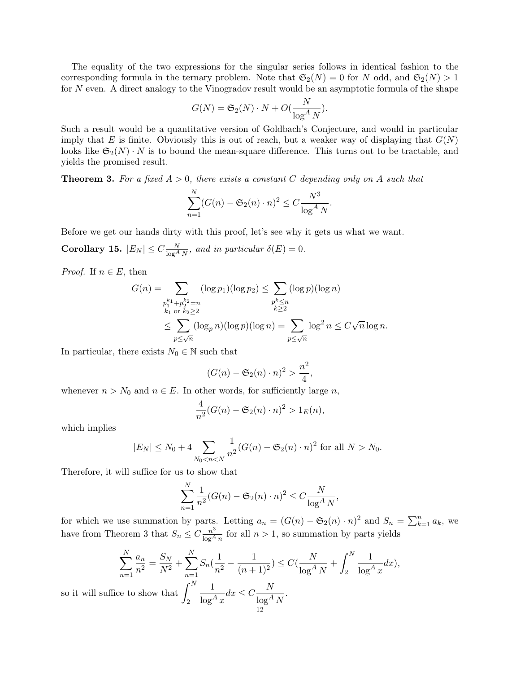The equality of the two expressions for the singular series follows in identical fashion to the corresponding formula in the ternary problem. Note that  $\mathfrak{S}_2(N) = 0$  for N odd, and  $\mathfrak{S}_2(N) > 1$ for N even. A direct analogy to the Vinogradov result would be an asymptotic formula of the shape

$$
G(N) = \mathfrak{S}_2(N) \cdot N + O(\frac{N}{\log^A N}).
$$

Such a result would be a quantitative version of Goldbach's Conjecture, and would in particular imply that E is finite. Obviously this is out of reach, but a weaker way of displaying that  $G(N)$ looks like  $\mathfrak{S}_2(N) \cdot N$  is to bound the mean-square difference. This turns out to be tractable, and yields the promised result.

**Theorem 3.** For a fixed  $A > 0$ , there exists a constant C depending only on A such that

$$
\sum_{n=1}^{N} (G(n) - \mathfrak{S}_2(n) \cdot n)^2 \le C \frac{N^3}{\log^A N}.
$$

Before we get our hands dirty with this proof, let's see why it gets us what we want.

**Corollary 15.**  $|E_N| \leq C \frac{N}{\log^A N}$ , and in particular  $\delta(E) = 0$ .

*Proof.* If  $n \in E$ , then

$$
G(n) = \sum_{\substack{p_1^{k_1} + p_2^{k_2} = n \\ k_1 \text{ or } k_2 \ge 2}} (\log p_1)(\log p_2) \le \sum_{\substack{p^k \le n \\ k \ge 2}} (\log p)(\log n)
$$
  

$$
\le \sum_{p \le \sqrt{n}} (\log_p n)(\log p)(\log n) = \sum_{p \le \sqrt{n}} \log^2 n \le C\sqrt{n} \log n.
$$

In particular, there exists  $N_0 \in \mathbb{N}$  such that

$$
(G(n) - \mathfrak{S}_2(n) \cdot n)^2 > \frac{n^2}{4},
$$

whenever  $n > N_0$  and  $n \in E$ . In other words, for sufficiently large n,

$$
\frac{4}{n^2}(G(n) - \mathfrak{S}_2(n) \cdot n)^2 > 1_E(n),
$$

which implies

$$
|E_N| \le N_0 + 4 \sum_{N_0 < n < N} \frac{1}{n^2} (G(n) - \mathfrak{S}_2(n) \cdot n)^2
$$
 for all  $N > N_0$ .

Therefore, it will suffice for us to show that

$$
\sum_{n=1}^{N} \frac{1}{n^2} (G(n) - \mathfrak{S}_2(n) \cdot n)^2 \le C \frac{N}{\log^A N},
$$

for which we use summation by parts. Letting  $a_n = (G(n) - \mathfrak{S}_2(n) \cdot n)^2$  and  $S_n = \sum_{k=1}^n a_k$ , we have from Theorem 3 that  $S_n \leq C \frac{n^3}{\log^A}$  $\frac{n^{\circ}}{\log^{A} n}$  for all  $n > 1$ , so summation by parts yields

$$
\sum_{n=1}^{N} \frac{a_n}{n^2} = \frac{S_N}{N^2} + \sum_{n=1}^{N} S_n(\frac{1}{n^2} - \frac{1}{(n+1)^2}) \le C(\frac{N}{\log^A N} + \int_2^N \frac{1}{\log^A x} dx),
$$
  
so it will suffice to show that 
$$
\int_2^N \frac{1}{\log^A x} dx \le C \frac{N}{\log^A N}.
$$

 $12$ <sup> $-$ </sup>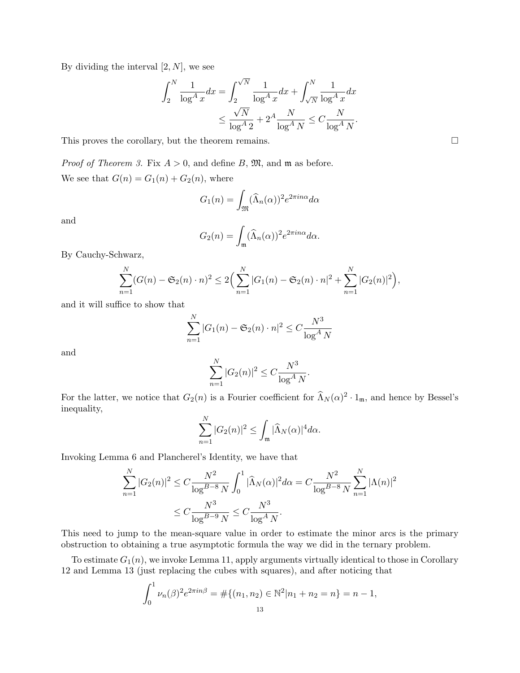By dividing the interval  $[2, N]$ , we see

$$
\begin{aligned} \int_2^N \frac{1}{\log^A x} dx &= \int_2^{\sqrt{N}} \frac{1}{\log^A x} dx + \int_{\sqrt{N}}^N \frac{1}{\log^A x} dx \\ &\leq \frac{\sqrt{N}}{\log^A 2} + 2^A \frac{N}{\log^A N} \leq C \frac{N}{\log^A N}. \end{aligned}
$$

This proves the corollary, but the theorem remains.

*Proof of Theorem 3.* Fix  $A > 0$ , and define B,  $\mathfrak{M}$ , and m as before. We see that  $G(n) = G_1(n) + G_2(n)$ , where

$$
G_1(n) = \int_{\mathfrak{M}} (\widehat{\Lambda}_n(\alpha))^2 e^{2\pi i n \alpha} d\alpha
$$

and

$$
G_2(n) = \int_{\mathfrak{m}} (\widehat{\Lambda}_n(\alpha))^2 e^{2\pi i n \alpha} d\alpha.
$$

By Cauchy-Schwarz,

$$
\sum_{n=1}^{N} (G(n) - \mathfrak{S}_2(n) \cdot n)^2 \le 2 \Big( \sum_{n=1}^{N} |G_1(n) - \mathfrak{S}_2(n) \cdot n|^2 + \sum_{n=1}^{N} |G_2(n)|^2 \Big),
$$

and it will suffice to show that

$$
\sum_{n=1}^{N} |G_1(n) - \mathfrak{S}_2(n) \cdot n|^2 \le C \frac{N^3}{\log^4 N}
$$

and

$$
\sum_{n=1}^{N} |G_2(n)|^2 \le C \frac{N^3}{\log^A N}.
$$

For the latter, we notice that  $G_2(n)$  is a Fourier coefficient for  $\widehat{\Lambda}_N(\alpha)^2 \cdot 1_{\mathfrak{m}}$ , and hence by Bessel's inequality,

$$
\sum_{n=1}^{N} |G_2(n)|^2 \le \int_{\mathfrak{m}} |\widehat{\Lambda}_N(\alpha)|^4 d\alpha.
$$

Invoking Lemma 6 and Plancherel's Identity, we have that

$$
\sum_{n=1}^{N} |G_2(n)|^2 \le C \frac{N^2}{\log^{B-8} N} \int_0^1 |\widehat{\Lambda}_N(\alpha)|^2 d\alpha = C \frac{N^2}{\log^{B-8} N} \sum_{n=1}^{N} |\Lambda(n)|^2
$$
  

$$
\le C \frac{N^3}{\log^{B-9} N} \le C \frac{N^3}{\log^A N}.
$$

This need to jump to the mean-square value in order to estimate the minor arcs is the primary obstruction to obtaining a true asymptotic formula the way we did in the ternary problem.

To estimate  $G_1(n)$ , we invoke Lemma 11, apply arguments virtually identical to those in Corollary 12 and Lemma 13 (just replacing the cubes with squares), and after noticing that

$$
\int_0^1 \nu_n(\beta)^2 e^{2\pi i n \beta} = \# \{ (n_1, n_2) \in \mathbb{N}^2 | n_1 + n_2 = n \} = n - 1,
$$
  
13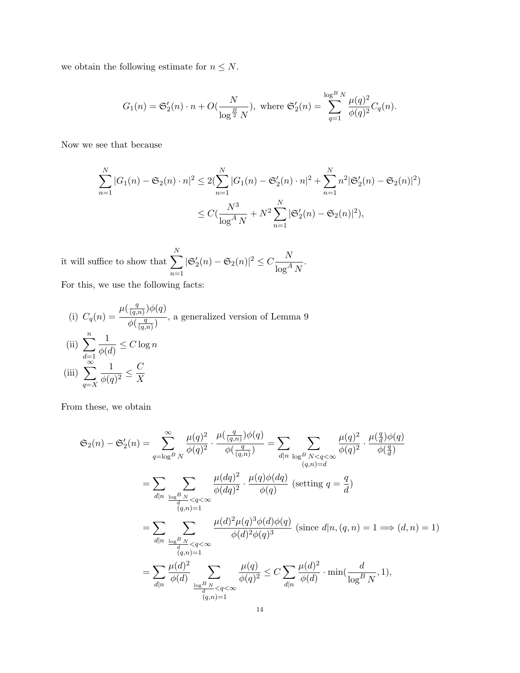we obtain the following estimate for  $n\leq N.$ 

$$
G_1(n)=\mathfrak{S}'_2(n)\cdot n+O(\frac{N}{\log^\frac{B}{2} N}),\text{ where }\mathfrak{S}'_2(n)=\sum_{q=1}^{\log^B N}\frac{\mu(q)^2}{\phi(q)^2}C_q(n).
$$

Now we see that because

$$
\sum_{n=1}^{N} |G_1(n) - \mathfrak{S}_2(n) \cdot n|^2 \le 2(\sum_{n=1}^{N} |G_1(n) - \mathfrak{S}'_2(n) \cdot n|^2 + \sum_{n=1}^{N} n^2 |\mathfrak{S}'_2(n) - \mathfrak{S}_2(n)|^2)
$$
  

$$
\le C(\frac{N^3}{\log^A N} + N^2 \sum_{n=1}^{N} |\mathfrak{S}'_2(n) - \mathfrak{S}_2(n)|^2),
$$

it will suffice to show that  $\sum$ N  $n=1$  $|\mathfrak{S}'_2(n) - \mathfrak{S}_2(n)|^2 \leq C \frac{N}{\log A}$  $\frac{1}{\log^A N}$ .

For this, we use the following facts:

(i) 
$$
C_q(n) = \frac{\mu(\frac{q}{(q,n)})\phi(q)}{\phi(\frac{q}{(q,n)})}
$$
, a generalized version of Lemma 9  
\n(ii)  $\sum_{d=1}^n \frac{1}{\phi(d)} \le C \log n$   
\n(iii)  $\sum_{q=X}^{\infty} \frac{1}{\phi(q)^2} \le \frac{C}{X}$ 

From these, we obtain

$$
\mathfrak{S}_{2}(n) - \mathfrak{S}'_{2}(n) = \sum_{q=\log^{B} N}^{\infty} \frac{\mu(q)^{2}}{\phi(q)^{2}} \cdot \frac{\mu(\frac{q}{(q,n)})\phi(q)}{\phi(\frac{q}{(q,n)})} = \sum_{d|n} \sum_{\log^{B} N < q < \infty} \frac{\mu(q)^{2}}{\phi(q)^{2}} \cdot \frac{\mu(\frac{q}{d})\phi(q)}{\phi(\frac{q}{d})}
$$
\n
$$
= \sum_{d|n} \sum_{\log^{B} N < q < \infty} \frac{\mu(dq)^{2}}{\phi(dq)^{2}} \cdot \frac{\mu(q)\phi(dq)}{\phi(q)} \text{ (setting } q = \frac{q}{d})
$$
\n
$$
= \sum_{d|n} \sum_{\log^{B} N < q < \infty} \frac{\mu(d)^{2}\mu(q)^{3}\phi(d)\phi(q)}{\phi(d)^{2}\phi(q)^{3}} \text{ (since } d|n, (q, n) = 1 \implies (d, n) = 1)
$$
\n
$$
= \sum_{d|n} \sum_{\log^{B} N < q < \infty} \frac{\mu(d)^{2}}{\phi(d)^{2}} \sum_{\log^{B} N < q < \infty} \frac{\mu(q)}{\phi(q)^{2}} \le C \sum_{d|n} \frac{\mu(d)^{2}}{\phi(d)} \cdot \min(\frac{d}{\log^{B} N}, 1),
$$